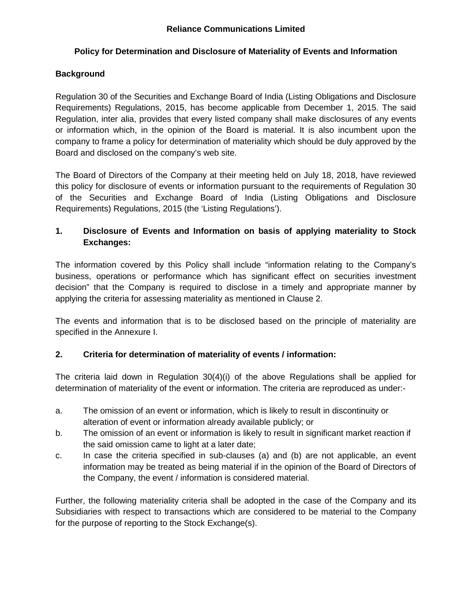## **Policy for Determination and Disclosure of Materiality of Events and Information**

### **Background**

Regulation 30 of the Securities and Exchange Board of India (Listing Obligations and Disclosure Requirements) Regulations, 2015, has become applicable from December 1, 2015. The said Regulation, inter alia, provides that every listed company shall make disclosures of any events or information which, in the opinion of the Board is material. It is also incumbent upon the company to frame a policy for determination of materiality which should be duly approved by the Board and disclosed on the company's web site.

The Board of Directors of the Company at their meeting held on July 18, 2018, have reviewed this policy for disclosure of events or information pursuant to the requirements of Regulation 30 of the Securities and Exchange Board of India (Listing Obligations and Disclosure Requirements) Regulations, 2015 (the 'Listing Regulations').

## **1. Disclosure of Events and Information on basis of applying materiality to Stock Exchanges:**

The information covered by this Policy shall include "information relating to the Company's business, operations or performance which has significant effect on securities investment decision" that the Company is required to disclose in a timely and appropriate manner by applying the criteria for assessing materiality as mentioned in Clause 2.

The events and information that is to be disclosed based on the principle of materiality are specified in the Annexure I.

#### **2. Criteria for determination of materiality of events / information:**

The criteria laid down in Regulation 30(4)(i) of the above Regulations shall be applied for determination of materiality of the event or information. The criteria are reproduced as under:-

- a. The omission of an event or information, which is likely to result in discontinuity or alteration of event or information already available publicly; or
- b. The omission of an event or information is likely to result in significant market reaction if the said omission came to light at a later date;
- c. In case the criteria specified in sub-clauses (a) and (b) are not applicable, an event information may be treated as being material if in the opinion of the Board of Directors of the Company, the event / information is considered material.

Further, the following materiality criteria shall be adopted in the case of the Company and its Subsidiaries with respect to transactions which are considered to be material to the Company for the purpose of reporting to the Stock Exchange(s).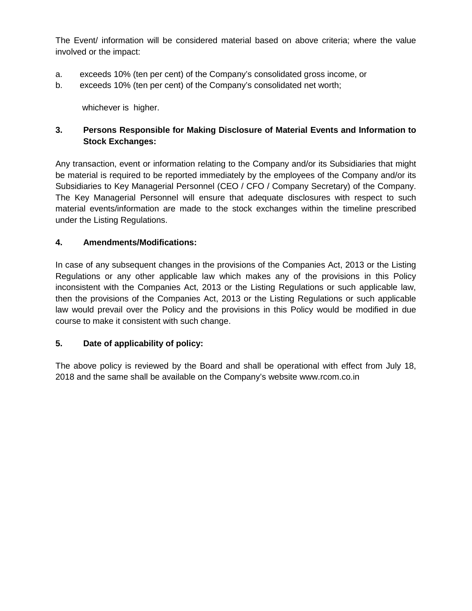The Event/ information will be considered material based on above criteria; where the value involved or the impact:

- a. exceeds 10% (ten per cent) of the Company's consolidated gross income, or
- b. exceeds 10% (ten per cent) of the Company's consolidated net worth;

whichever is higher.

# **3. Persons Responsible for Making Disclosure of Material Events and Information to Stock Exchanges:**

Any transaction, event or information relating to the Company and/or its Subsidiaries that might be material is required to be reported immediately by the employees of the Company and/or its Subsidiaries to Key Managerial Personnel (CEO / CFO / Company Secretary) of the Company. The Key Managerial Personnel will ensure that adequate disclosures with respect to such material events/information are made to the stock exchanges within the timeline prescribed under the Listing Regulations.

# **4. Amendments/Modifications:**

In case of any subsequent changes in the provisions of the Companies Act, 2013 or the Listing Regulations or any other applicable law which makes any of the provisions in this Policy inconsistent with the Companies Act, 2013 or the Listing Regulations or such applicable law, then the provisions of the Companies Act, 2013 or the Listing Regulations or such applicable law would prevail over the Policy and the provisions in this Policy would be modified in due course to make it consistent with such change.

## **5. Date of applicability of policy:**

The above policy is reviewed by the Board and shall be operational with effect from July 18, 2018 and the same shall be available on the Company's website www.rcom.co.in